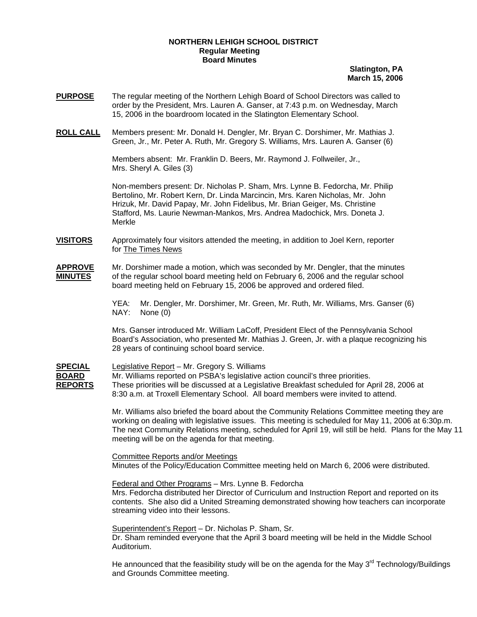## **NORTHERN LEHIGH SCHOOL DISTRICT Regular Meeting Board Minutes**

**Slatington, PA March 15, 2006**

- **PURPOSE** The regular meeting of the Northern Lehigh Board of School Directors was called to order by the President, Mrs. Lauren A. Ganser, at 7:43 p.m. on Wednesday, March 15, 2006 in the boardroom located in the Slatington Elementary School.
- **ROLL CALL** Members present: Mr. Donald H. Dengler, Mr. Bryan C. Dorshimer, Mr. Mathias J. Green, Jr., Mr. Peter A. Ruth, Mr. Gregory S. Williams, Mrs. Lauren A. Ganser (6)

 Members absent: Mr. Franklin D. Beers, Mr. Raymond J. Follweiler, Jr., Mrs. Sheryl A. Giles (3)

Non-members present: Dr. Nicholas P. Sham, Mrs. Lynne B. Fedorcha, Mr. Philip Bertolino, Mr. Robert Kern, Dr. Linda Marcincin, Mrs. Karen Nicholas, Mr. John Hrizuk, Mr. David Papay, Mr. John Fidelibus, Mr. Brian Geiger, Ms. Christine Stafford, Ms. Laurie Newman-Mankos, Mrs. Andrea Madochick, Mrs. Doneta J. Merkle

**VISITORS** Approximately four visitors attended the meeting, in addition to Joel Kern, reporter for The Times News

**APPROVE** Mr. Dorshimer made a motion, which was seconded by Mr. Dengler, that the minutes **MINUTES** of the regular school board meeting held on February 6, 2006 and the regular school board meeting held on February 15, 2006 be approved and ordered filed.

> YEA: Mr. Dengler, Mr. Dorshimer, Mr. Green, Mr. Ruth, Mr. Williams, Mrs. Ganser (6) NAY: None (0)

Mrs. Ganser introduced Mr. William LaCoff, President Elect of the Pennsylvania School Board's Association, who presented Mr. Mathias J. Green, Jr. with a plaque recognizing his 28 years of continuing school board service.

**SPECIAL** Legislative Report – Mr. Gregory S. Williams **BOARD** Mr. Williams reported on PSBA's legislative action council's three priorities. **REPORTS** These priorities will be discussed at a Legislative Breakfast scheduled for April 28, 2006 at 8:30 a.m. at Troxell Elementary School. All board members were invited to attend.

> Mr. Williams also briefed the board about the Community Relations Committee meeting they are working on dealing with legislative issues. This meeting is scheduled for May 11, 2006 at 6:30p.m. The next Community Relations meeting, scheduled for April 19, will still be held. Plans for the May 11 meeting will be on the agenda for that meeting.

 Committee Reports and/or Meetings Minutes of the Policy/Education Committee meeting held on March 6, 2006 were distributed.

Federal and Other Programs – Mrs. Lynne B. Fedorcha

Mrs. Fedorcha distributed her Director of Curriculum and Instruction Report and reported on its contents. She also did a United Streaming demonstrated showing how teachers can incorporate streaming video into their lessons.

Superintendent's Report – Dr. Nicholas P. Sham, Sr. Dr. Sham reminded everyone that the April 3 board meeting will be held in the Middle School Auditorium.

He announced that the feasibility study will be on the agenda for the May  $3<sup>rd</sup>$  Technology/Buildings and Grounds Committee meeting.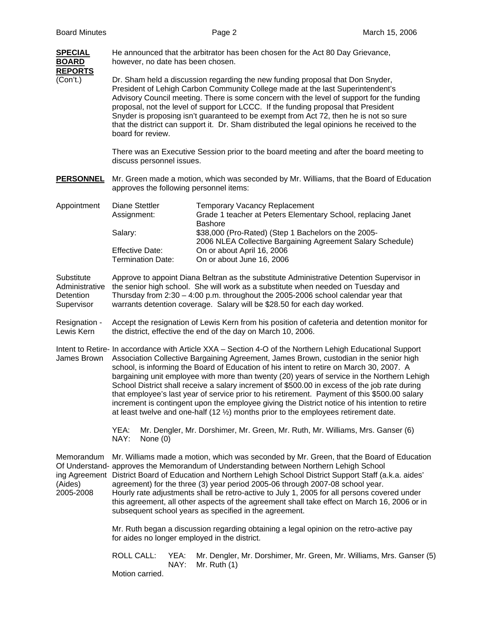| <b>SPECIAL</b><br><b>BOARD</b><br><b>REPORTS</b>        | He announced that the arbitrator has been chosen for the Act 80 Day Grievance,<br>however, no date has been chosen.                                                                                                                                                                                                                                                                                                                                                                                                                                                                                                                                                                                                                                                                                   |            |              |                                                                                                                        |  |  |  |
|---------------------------------------------------------|-------------------------------------------------------------------------------------------------------------------------------------------------------------------------------------------------------------------------------------------------------------------------------------------------------------------------------------------------------------------------------------------------------------------------------------------------------------------------------------------------------------------------------------------------------------------------------------------------------------------------------------------------------------------------------------------------------------------------------------------------------------------------------------------------------|------------|--------------|------------------------------------------------------------------------------------------------------------------------|--|--|--|
| (Con't.)                                                | Dr. Sham held a discussion regarding the new funding proposal that Don Snyder,<br>President of Lehigh Carbon Community College made at the last Superintendent's<br>Advisory Council meeting. There is some concern with the level of support for the funding<br>proposal, not the level of support for LCCC. If the funding proposal that President<br>Snyder is proposing isn't guaranteed to be exempt from Act 72, then he is not so sure<br>that the district can support it. Dr. Sham distributed the legal opinions he received to the<br>board for review.                                                                                                                                                                                                                                    |            |              |                                                                                                                        |  |  |  |
|                                                         | There was an Executive Session prior to the board meeting and after the board meeting to<br>discuss personnel issues.                                                                                                                                                                                                                                                                                                                                                                                                                                                                                                                                                                                                                                                                                 |            |              |                                                                                                                        |  |  |  |
| <b>PERSONNEL</b>                                        | Mr. Green made a motion, which was seconded by Mr. Williams, that the Board of Education<br>approves the following personnel items:                                                                                                                                                                                                                                                                                                                                                                                                                                                                                                                                                                                                                                                                   |            |              |                                                                                                                        |  |  |  |
| Appointment                                             | <b>Diane Stettler</b><br>Assignment:                                                                                                                                                                                                                                                                                                                                                                                                                                                                                                                                                                                                                                                                                                                                                                  |            |              | <b>Temporary Vacancy Replacement</b><br>Grade 1 teacher at Peters Elementary School, replacing Janet<br><b>Bashore</b> |  |  |  |
|                                                         | Salary:                                                                                                                                                                                                                                                                                                                                                                                                                                                                                                                                                                                                                                                                                                                                                                                               |            |              | \$38,000 (Pro-Rated) (Step 1 Bachelors on the 2005-<br>2006 NLEA Collective Bargaining Agreement Salary Schedule)      |  |  |  |
|                                                         | <b>Effective Date:</b><br><b>Termination Date:</b>                                                                                                                                                                                                                                                                                                                                                                                                                                                                                                                                                                                                                                                                                                                                                    |            |              | On or about April 16, 2006<br>On or about June 16, 2006                                                                |  |  |  |
| Substitute<br>Administrative<br>Detention<br>Supervisor | Approve to appoint Diana Beltran as the substitute Administrative Detention Supervisor in<br>the senior high school. She will work as a substitute when needed on Tuesday and<br>Thursday from $2:30 - 4:00$ p.m. throughout the 2005-2006 school calendar year that<br>warrants detention coverage. Salary will be \$28.50 for each day worked.                                                                                                                                                                                                                                                                                                                                                                                                                                                      |            |              |                                                                                                                        |  |  |  |
| Resignation -<br>Lewis Kern                             | Accept the resignation of Lewis Kern from his position of cafeteria and detention monitor for<br>the district, effective the end of the day on March 10, 2006.                                                                                                                                                                                                                                                                                                                                                                                                                                                                                                                                                                                                                                        |            |              |                                                                                                                        |  |  |  |
| James Brown                                             | Intent to Retire- In accordance with Article XXA - Section 4-O of the Northern Lehigh Educational Support<br>Association Collective Bargaining Agreement, James Brown, custodian in the senior high<br>school, is informing the Board of Education of his intent to retire on March 30, 2007. A<br>bargaining unit employee with more than twenty (20) years of service in the Northern Lehigh<br>School District shall receive a salary increment of \$500.00 in excess of the job rate during<br>that employee's last year of service prior to his retirement. Payment of this \$500.00 salary<br>increment is contingent upon the employee giving the District notice of his intention to retire<br>at least twelve and one-half $(12 \frac{1}{2})$ months prior to the employees retirement date. |            |              |                                                                                                                        |  |  |  |
|                                                         | YEA:<br>NAY:                                                                                                                                                                                                                                                                                                                                                                                                                                                                                                                                                                                                                                                                                                                                                                                          | None $(0)$ |              | Mr. Dengler, Mr. Dorshimer, Mr. Green, Mr. Ruth, Mr. Williams, Mrs. Ganser (6)                                         |  |  |  |
| Memorandum<br>(Aides)<br>2005-2008                      | Mr. Williams made a motion, which was seconded by Mr. Green, that the Board of Education<br>Of Understand- approves the Memorandum of Understanding between Northern Lehigh School<br>ing Agreement District Board of Education and Northern Lehigh School District Support Staff (a.k.a. aides'<br>agreement) for the three (3) year period 2005-06 through 2007-08 school year.<br>Hourly rate adjustments shall be retro-active to July 1, 2005 for all persons covered under<br>this agreement, all other aspects of the agreement shall take effect on March 16, 2006 or in<br>subsequent school years as specified in the agreement.                                                                                                                                                            |            |              |                                                                                                                        |  |  |  |
|                                                         | Mr. Ruth began a discussion regarding obtaining a legal opinion on the retro-active pay<br>for aides no longer employed in the district.                                                                                                                                                                                                                                                                                                                                                                                                                                                                                                                                                                                                                                                              |            |              |                                                                                                                        |  |  |  |
|                                                         | <b>ROLL CALL:</b><br>Motion carried.                                                                                                                                                                                                                                                                                                                                                                                                                                                                                                                                                                                                                                                                                                                                                                  |            | YEA:<br>NAY: | Mr. Dengler, Mr. Dorshimer, Mr. Green, Mr. Williams, Mrs. Ganser (5)<br>Mr. Ruth $(1)$                                 |  |  |  |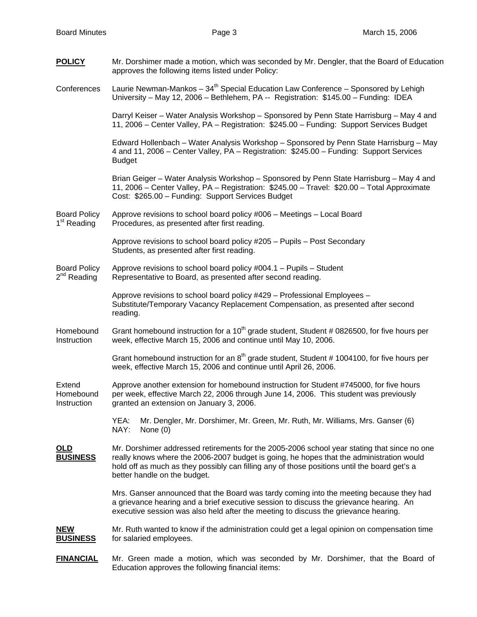| <b>POLICY</b>                                  | Mr. Dorshimer made a motion, which was seconded by Mr. Dengler, that the Board of Education<br>approves the following items listed under Policy:                                                                                                                                                                        |  |  |  |  |  |
|------------------------------------------------|-------------------------------------------------------------------------------------------------------------------------------------------------------------------------------------------------------------------------------------------------------------------------------------------------------------------------|--|--|--|--|--|
| Conferences                                    | Laurie Newman-Mankos $-34th$ Special Education Law Conference – Sponsored by Lehigh<br>University - May 12, 2006 - Bethlehem, PA -- Registration: \$145.00 - Funding: IDEA                                                                                                                                              |  |  |  |  |  |
|                                                | Darryl Keiser - Water Analysis Workshop - Sponsored by Penn State Harrisburg - May 4 and<br>11, 2006 – Center Valley, PA – Registration: \$245.00 – Funding: Support Services Budget                                                                                                                                    |  |  |  |  |  |
|                                                | Edward Hollenbach - Water Analysis Workshop - Sponsored by Penn State Harrisburg - May<br>4 and 11, 2006 – Center Valley, PA – Registration: \$245.00 – Funding: Support Services<br><b>Budget</b>                                                                                                                      |  |  |  |  |  |
|                                                | Brian Geiger - Water Analysis Workshop - Sponsored by Penn State Harrisburg - May 4 and<br>11, 2006 – Center Valley, PA – Registration: \$245.00 – Travel: \$20.00 – Total Approximate<br>Cost: \$265.00 - Funding: Support Services Budget                                                                             |  |  |  |  |  |
| <b>Board Policy</b><br>1 <sup>st</sup> Reading | Approve revisions to school board policy #006 - Meetings - Local Board<br>Procedures, as presented after first reading.                                                                                                                                                                                                 |  |  |  |  |  |
|                                                | Approve revisions to school board policy #205 - Pupils - Post Secondary<br>Students, as presented after first reading.                                                                                                                                                                                                  |  |  |  |  |  |
| <b>Board Policy</b><br>2 <sup>nd</sup> Reading | Approve revisions to school board policy #004.1 - Pupils - Student<br>Representative to Board, as presented after second reading.                                                                                                                                                                                       |  |  |  |  |  |
|                                                | Approve revisions to school board policy #429 - Professional Employees -<br>Substitute/Temporary Vacancy Replacement Compensation, as presented after second<br>reading.                                                                                                                                                |  |  |  |  |  |
| Homebound<br>Instruction                       | Grant homebound instruction for a 10 <sup>th</sup> grade student, Student # 0826500, for five hours per<br>week, effective March 15, 2006 and continue until May 10, 2006.                                                                                                                                              |  |  |  |  |  |
|                                                | Grant homebound instruction for an $8th$ grade student, Student # 1004100, for five hours per<br>week, effective March 15, 2006 and continue until April 26, 2006.                                                                                                                                                      |  |  |  |  |  |
| Extend<br>Homebound<br>Instruction             | Approve another extension for homebound instruction for Student #745000, for five hours<br>per week, effective March 22, 2006 through June 14, 2006. This student was previously<br>granted an extension on January 3, 2006.                                                                                            |  |  |  |  |  |
|                                                | Mr. Dengler, Mr. Dorshimer, Mr. Green, Mr. Ruth, Mr. Williams, Mrs. Ganser (6)<br>YEA:<br>NAY:<br>None $(0)$                                                                                                                                                                                                            |  |  |  |  |  |
| <u>OLD</u><br><b>BUSINESS</b>                  | Mr. Dorshimer addressed retirements for the 2005-2006 school year stating that since no one<br>really knows where the 2006-2007 budget is going, he hopes that the administration would<br>hold off as much as they possibly can filling any of those positions until the board get's a<br>better handle on the budget. |  |  |  |  |  |
|                                                | Mrs. Ganser announced that the Board was tardy coming into the meeting because they had<br>a grievance hearing and a brief executive session to discuss the grievance hearing. An<br>executive session was also held after the meeting to discuss the grievance hearing.                                                |  |  |  |  |  |
| NEW<br><b>BUSINESS</b>                         | Mr. Ruth wanted to know if the administration could get a legal opinion on compensation time<br>for salaried employees.                                                                                                                                                                                                 |  |  |  |  |  |
| <b>FINANCIAL</b>                               | Mr. Green made a motion, which was seconded by Mr. Dorshimer, that the Board of                                                                                                                                                                                                                                         |  |  |  |  |  |

Education approves the following financial items: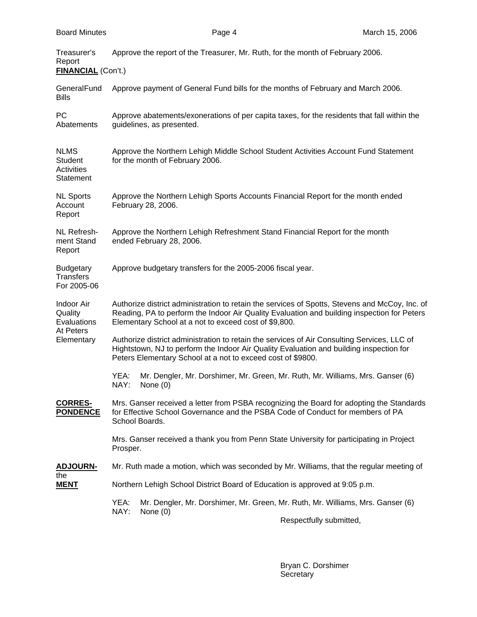| Treasurer's<br>Report<br><b>FINANCIAL</b> (Con't.)                     | Approve the report of the Treasurer, Mr. Ruth, for the month of February 2006.                                                                                                                                                                         |  |  |  |  |  |  |
|------------------------------------------------------------------------|--------------------------------------------------------------------------------------------------------------------------------------------------------------------------------------------------------------------------------------------------------|--|--|--|--|--|--|
| GeneralFund<br><b>Bills</b>                                            | Approve payment of General Fund bills for the months of February and March 2006.                                                                                                                                                                       |  |  |  |  |  |  |
| PC<br>Abatements                                                       | Approve abatements/exonerations of per capita taxes, for the residents that fall within the<br>guidelines, as presented.                                                                                                                               |  |  |  |  |  |  |
| <b>NLMS</b><br><b>Student</b><br>Activities<br>Statement               | Approve the Northern Lehigh Middle School Student Activities Account Fund Statement<br>for the month of February 2006.                                                                                                                                 |  |  |  |  |  |  |
| <b>NL Sports</b><br>Account<br>Report                                  | Approve the Northern Lehigh Sports Accounts Financial Report for the month ended<br>February 28, 2006.                                                                                                                                                 |  |  |  |  |  |  |
| NL Refresh-<br>ment Stand<br>Report                                    | Approve the Northern Lehigh Refreshment Stand Financial Report for the month<br>ended February 28, 2006.                                                                                                                                               |  |  |  |  |  |  |
| <b>Budgetary</b><br><b>Transfers</b><br>For 2005-06                    | Approve budgetary transfers for the 2005-2006 fiscal year.                                                                                                                                                                                             |  |  |  |  |  |  |
| <b>Indoor Air</b><br>Quality<br>Evaluations<br>At Peters<br>Elementary | Authorize district administration to retain the services of Spotts, Stevens and McCoy, Inc. of<br>Reading, PA to perform the Indoor Air Quality Evaluation and building inspection for Peters<br>Elementary School at a not to exceed cost of \$9,800. |  |  |  |  |  |  |
|                                                                        | Authorize district administration to retain the services of Air Consulting Services, LLC of<br>Hightstown, NJ to perform the Indoor Air Quality Evaluation and building inspection for<br>Peters Elementary School at a not to exceed cost of \$9800.  |  |  |  |  |  |  |
|                                                                        | YEA:<br>Mr. Dengler, Mr. Dorshimer, Mr. Green, Mr. Ruth, Mr. Williams, Mrs. Ganser (6)<br>NAY:<br>None $(0)$                                                                                                                                           |  |  |  |  |  |  |
| <b>CORRES-</b><br><b>PONDENCE</b>                                      | Mrs. Ganser received a letter from PSBA recognizing the Board for adopting the Standards<br>for Effective School Governance and the PSBA Code of Conduct for members of PA<br>School Boards.                                                           |  |  |  |  |  |  |
|                                                                        | Mrs. Ganser received a thank you from Penn State University for participating in Project<br>Prosper.                                                                                                                                                   |  |  |  |  |  |  |
| <u>ADJOURN-</u><br>the<br><u>MENT</u>                                  | Mr. Ruth made a motion, which was seconded by Mr. Williams, that the regular meeting of                                                                                                                                                                |  |  |  |  |  |  |
|                                                                        | Northern Lehigh School District Board of Education is approved at 9:05 p.m.                                                                                                                                                                            |  |  |  |  |  |  |
|                                                                        | YEA:<br>Mr. Dengler, Mr. Dorshimer, Mr. Green, Mr. Ruth, Mr. Williams, Mrs. Ganser (6)                                                                                                                                                                 |  |  |  |  |  |  |
|                                                                        | NAY:<br>None $(0)$<br>Respectfully submitted,                                                                                                                                                                                                          |  |  |  |  |  |  |